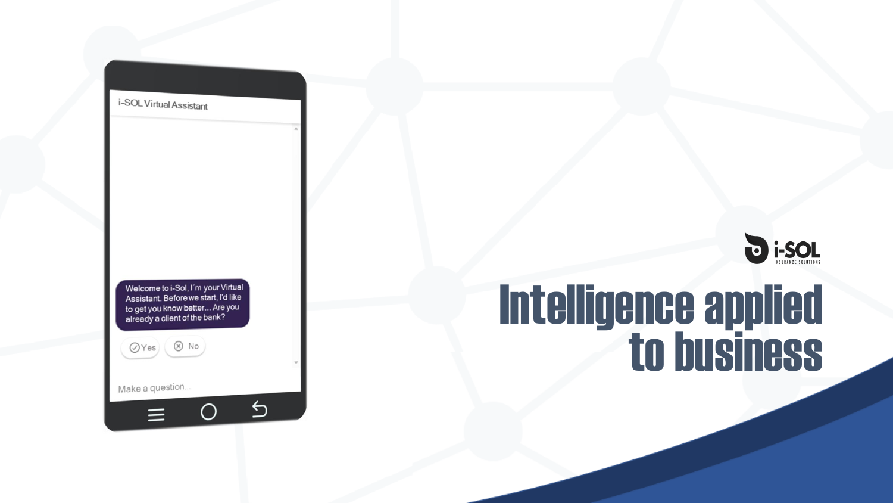i-SOL Virtual Assistant

Welcome to i-Sol, I'm your Virtual Assistant. Before we start, I'd like to get you know better... Are you already a client of the bank?

 $\bigcirc$ 

 $\bigoplus$ 

 $($ a Yes $)$   $($   $\otimes$  No

Make a question...



# Intelligence applied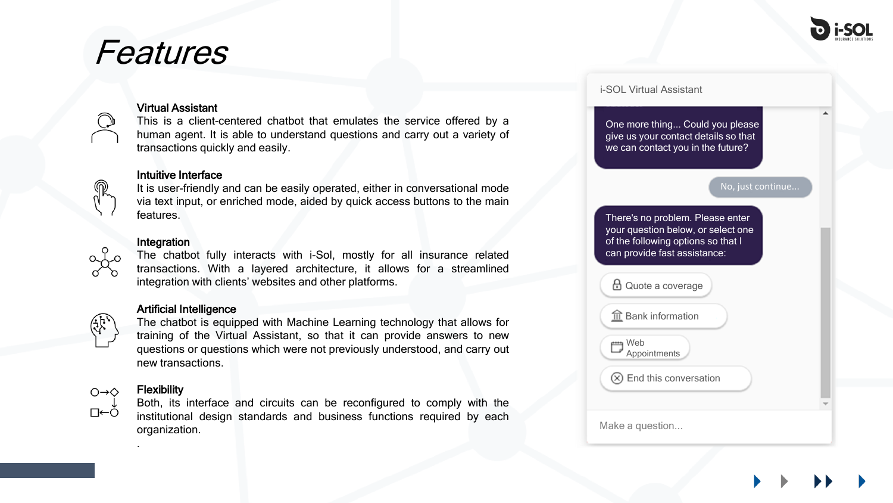

## Features



#### Virtual Assistant

This is a client-centered chatbot that emulates the service offered by a human agent. It is able to understand questions and carry out a variety of transactions quickly and easily.

#### Intuitive Interface

It is user-friendly and can be easily operated, either in conversational mode via text input, or enriched mode, aided by quick access buttons to the main features.

#### Integration

The chatbot fully interacts with i-Sol, mostly for all insurance related transactions. With a layered architecture, it allows for a streamlined integration with clients' websites and other platforms.

#### Artificial Intelligence



The chatbot is equipped with Machine Learning technology that allows for training of the Virtual Assistant, so that it can provide answers to new questions or questions which were not previously understood, and carry out new transactions.



#### **Flexibility**

.

Both, its interface and circuits can be reconfigured to comply with the institutional design standards and business functions required by each organization.

|                                                                                                        | One more thing Could you please<br>give us your contact details so that<br>we can contact you in the future? |
|--------------------------------------------------------------------------------------------------------|--------------------------------------------------------------------------------------------------------------|
| No, just continue                                                                                      |                                                                                                              |
|                                                                                                        |                                                                                                              |
| There's no problem. Please enter<br>of the following options so that I<br>can provide fast assistance: | your question below, or select one                                                                           |
| $\boxplus$ Quote a coverage                                                                            |                                                                                                              |
| $\widehat{\mathbb{I}\mathbb{I}}$ Bank information                                                      |                                                                                                              |
| Web<br>Appointments                                                                                    |                                                                                                              |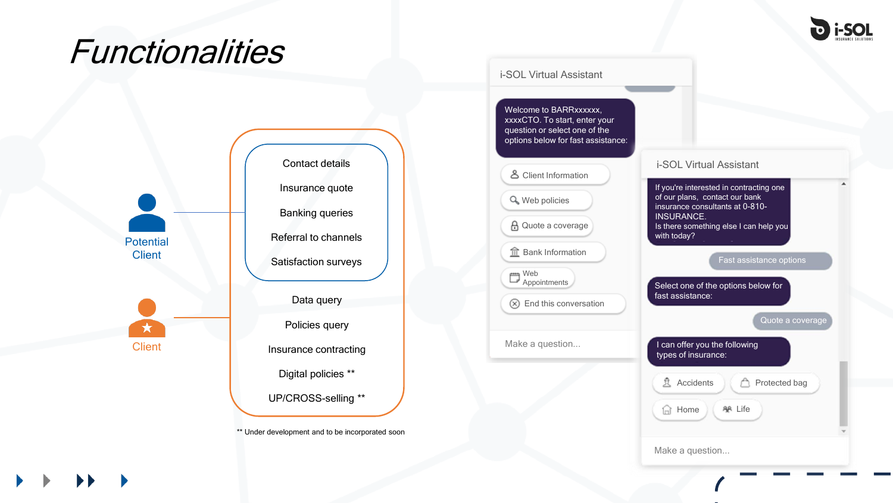

## **Functionalities**



\*\* Under development and to be incorporated soon

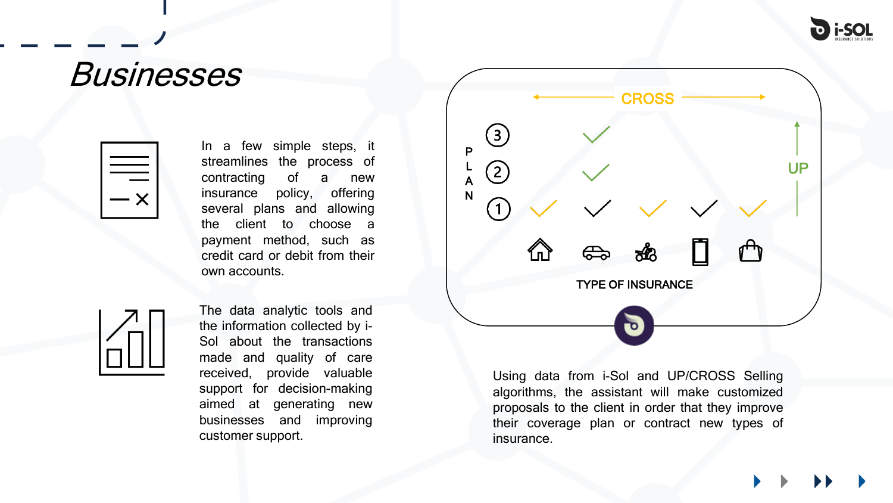

### Businesses



In a few simple steps, it streamlines the process of contracting of a new insurance policy, offering several plans and allowing the client to choose a payment method, such as credit card or debit from their own accounts.



The data analytic tools and the information collected by i-Sol about the transactions made and quality of care received, provide valuable support for decision-making aimed at generating new businesses and improving customer support.



Using data from i-Sol and UP/CROSS Selling algorithms, the assistant will make customized proposals to the client in order that they improve their coverage plan or contract new types of insurance.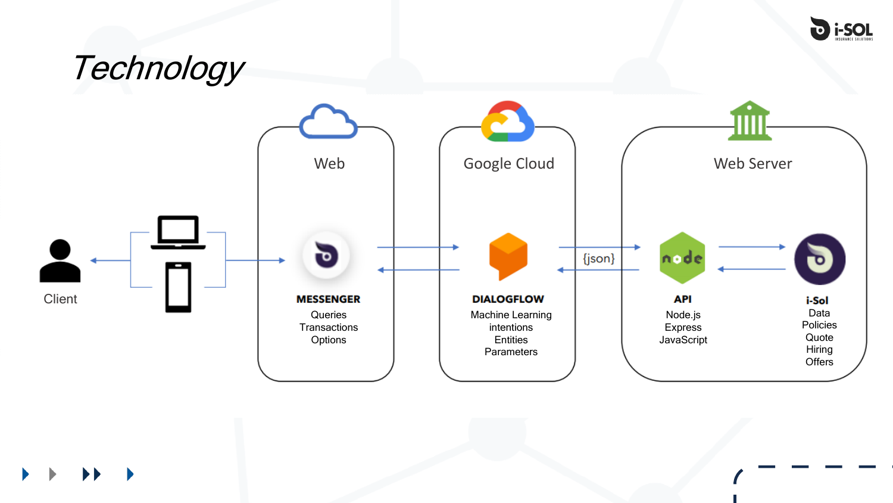

## Technology